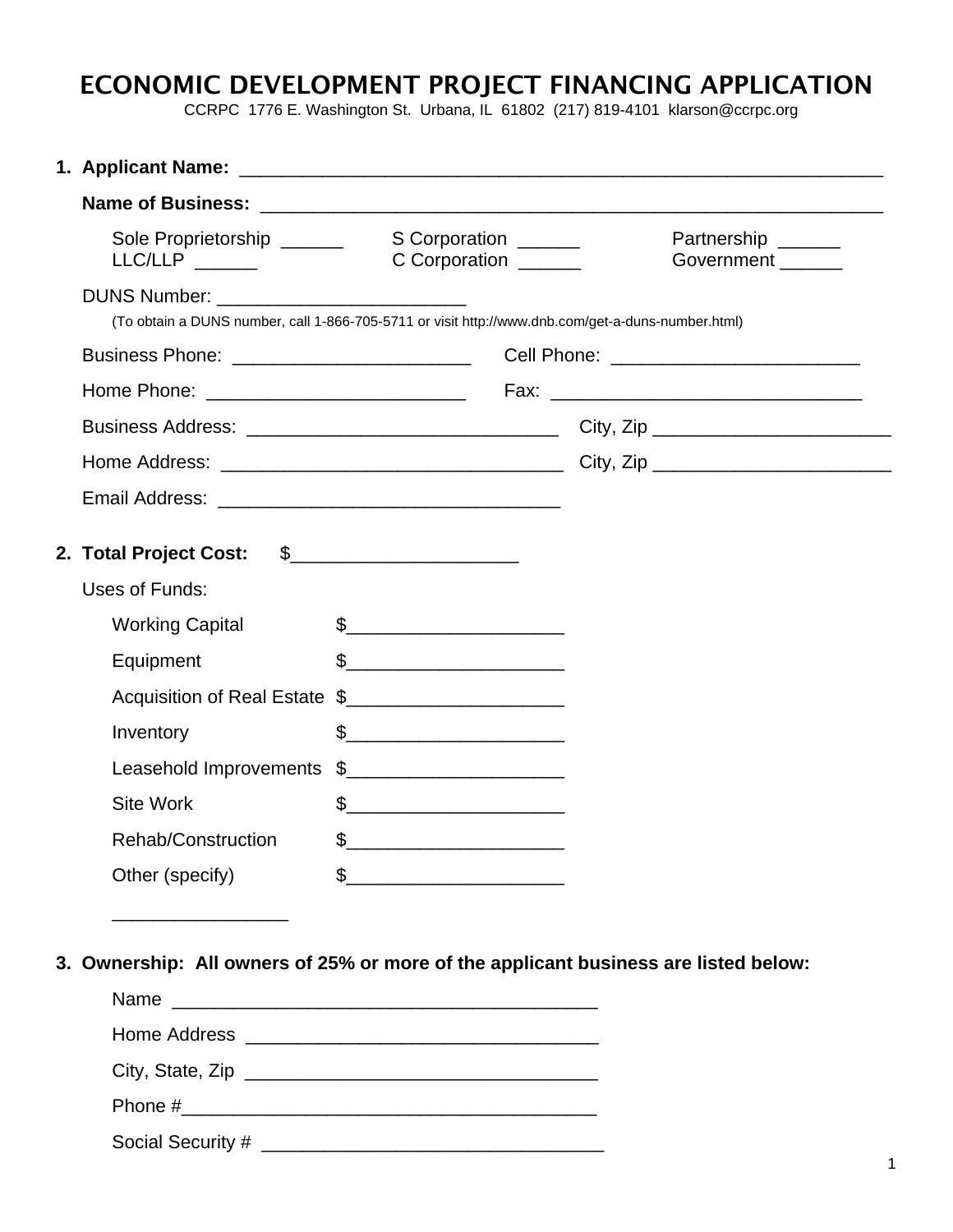## ECONOMIC DEVELOPMENT PROJECT FINANCING APPLICATION

CCRPC 1776 E. Washington St. Urbana, IL 61802 (217) 819-4101 klarson@ccrpc.org

|  | Sole Proprietorship ______<br>LLC/LLP                                                                                                           | S Corporation<br>C Corporation ______                                                                                                                                                                                                                                                                                                                               |  |                                                | Partnership ______<br>Government ______ |  |  |
|--|-------------------------------------------------------------------------------------------------------------------------------------------------|---------------------------------------------------------------------------------------------------------------------------------------------------------------------------------------------------------------------------------------------------------------------------------------------------------------------------------------------------------------------|--|------------------------------------------------|-----------------------------------------|--|--|
|  | DUNS Number: _____________________________<br>(To obtain a DUNS number, call 1-866-705-5711 or visit http://www.dnb.com/get-a-duns-number.html) |                                                                                                                                                                                                                                                                                                                                                                     |  |                                                |                                         |  |  |
|  |                                                                                                                                                 |                                                                                                                                                                                                                                                                                                                                                                     |  | Cell Phone: <u>___________________________</u> |                                         |  |  |
|  |                                                                                                                                                 |                                                                                                                                                                                                                                                                                                                                                                     |  |                                                |                                         |  |  |
|  |                                                                                                                                                 |                                                                                                                                                                                                                                                                                                                                                                     |  |                                                |                                         |  |  |
|  |                                                                                                                                                 |                                                                                                                                                                                                                                                                                                                                                                     |  |                                                |                                         |  |  |
|  |                                                                                                                                                 |                                                                                                                                                                                                                                                                                                                                                                     |  |                                                |                                         |  |  |
|  | 2. Total Project Cost: \$_______________________<br>Uses of Funds:                                                                              |                                                                                                                                                                                                                                                                                                                                                                     |  |                                                |                                         |  |  |
|  | <b>Working Capital</b>                                                                                                                          | $\begin{picture}(20,10) \put(0,0){\vector(1,0){100}} \put(15,0){\vector(1,0){100}} \put(15,0){\vector(1,0){100}} \put(15,0){\vector(1,0){100}} \put(15,0){\vector(1,0){100}} \put(15,0){\vector(1,0){100}} \put(15,0){\vector(1,0){100}} \put(15,0){\vector(1,0){100}} \put(15,0){\vector(1,0){100}} \put(15,0){\vector(1,0){100}} \put(15,0){\vector(1,0){100}} \$ |  |                                                |                                         |  |  |
|  | Equipment                                                                                                                                       | $\frac{1}{2}$                                                                                                                                                                                                                                                                                                                                                       |  |                                                |                                         |  |  |
|  | Acquisition of Real Estate \$                                                                                                                   |                                                                                                                                                                                                                                                                                                                                                                     |  |                                                |                                         |  |  |
|  | Inventory                                                                                                                                       | $\frac{1}{2}$                                                                                                                                                                                                                                                                                                                                                       |  |                                                |                                         |  |  |
|  | Leasehold Improvements                                                                                                                          | $\frac{1}{2}$                                                                                                                                                                                                                                                                                                                                                       |  |                                                |                                         |  |  |
|  | <b>Site Work</b>                                                                                                                                | $\frac{1}{2}$                                                                                                                                                                                                                                                                                                                                                       |  |                                                |                                         |  |  |
|  | Rehab/Construction                                                                                                                              | $\begin{picture}(20,10) \put(0,0){\vector(1,0){100}} \put(15,0){\vector(1,0){100}} \put(15,0){\vector(1,0){100}} \put(15,0){\vector(1,0){100}} \put(15,0){\vector(1,0){100}} \put(15,0){\vector(1,0){100}} \put(15,0){\vector(1,0){100}} \put(15,0){\vector(1,0){100}} \put(15,0){\vector(1,0){100}} \put(15,0){\vector(1,0){100}} \put(15,0){\vector(1,0){100}} \$ |  |                                                |                                         |  |  |
|  |                                                                                                                                                 |                                                                                                                                                                                                                                                                                                                                                                     |  |                                                |                                         |  |  |

**3. Ownership: All owners of 25% or more of the applicant business are listed below:** 

| Name |                   |
|------|-------------------|
|      |                   |
|      |                   |
|      |                   |
|      | Social Security # |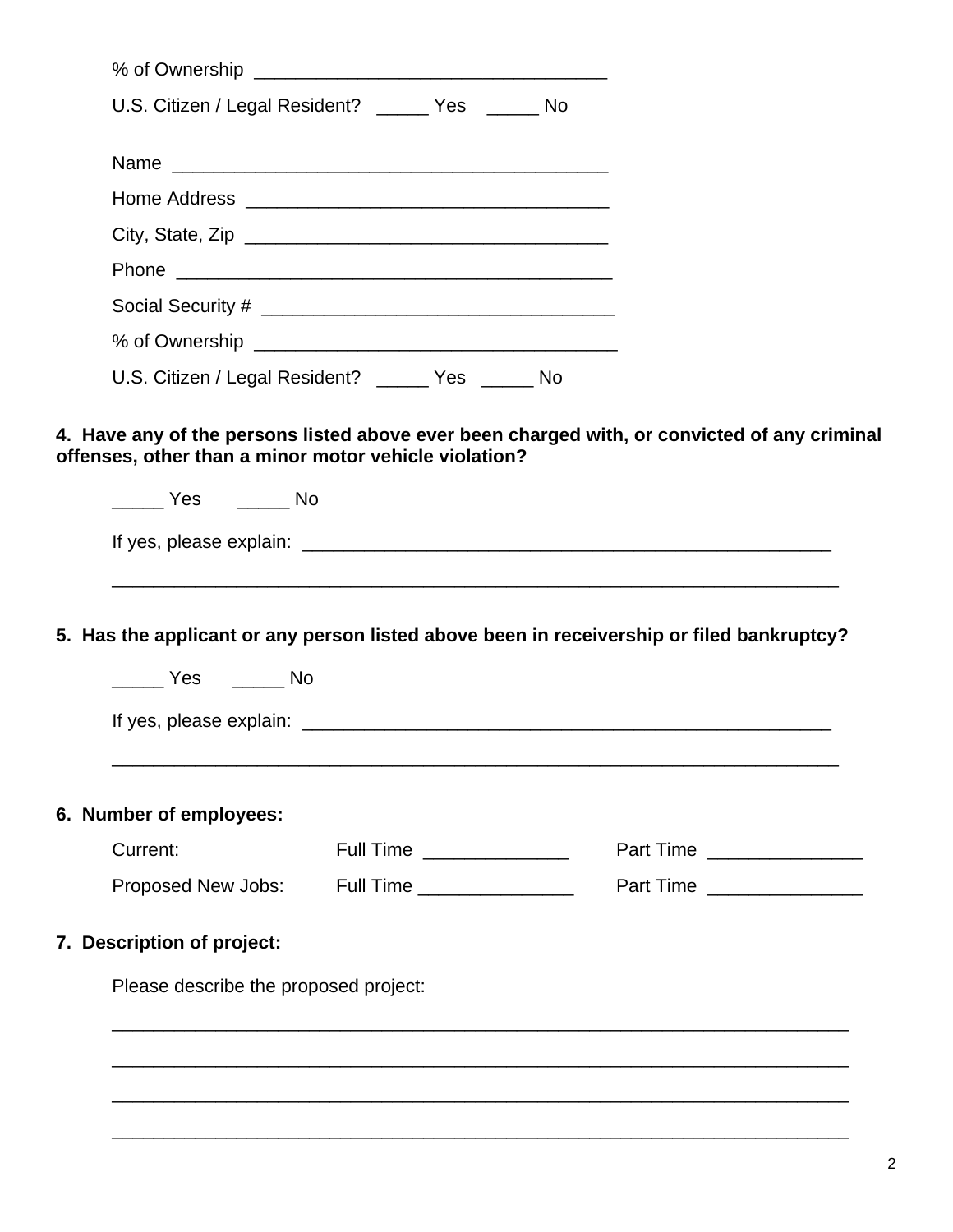| U.S. Citizen / Legal Resident? ______ Yes ______ No                                                                                                |                          |                              |  |
|----------------------------------------------------------------------------------------------------------------------------------------------------|--------------------------|------------------------------|--|
|                                                                                                                                                    |                          |                              |  |
|                                                                                                                                                    |                          |                              |  |
|                                                                                                                                                    |                          |                              |  |
|                                                                                                                                                    |                          |                              |  |
|                                                                                                                                                    |                          |                              |  |
|                                                                                                                                                    |                          |                              |  |
| U.S. Citizen / Legal Resident? _____ Yes _____ No                                                                                                  |                          |                              |  |
|                                                                                                                                                    |                          |                              |  |
|                                                                                                                                                    |                          |                              |  |
| ______ Yes ______ No                                                                                                                               |                          |                              |  |
|                                                                                                                                                    |                          |                              |  |
|                                                                                                                                                    |                          |                              |  |
| Current:                                                                                                                                           | Full Time ______________ | Part Time __________________ |  |
| Proposed New Jobs: Full Time _______________                                                                                                       |                          | Part Time ________________   |  |
|                                                                                                                                                    |                          |                              |  |
| Please describe the proposed project:                                                                                                              |                          |                              |  |
| 5. Has the applicant or any person listed above been in receivership or filed bankruptcy?<br>6. Number of employees:<br>7. Description of project: |                          |                              |  |